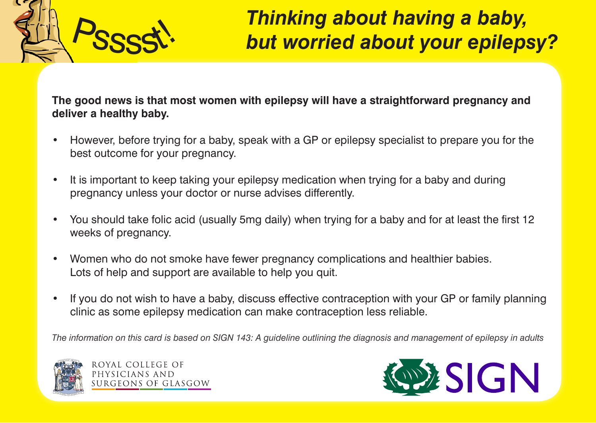

## <sup>P</sup>sssst! *Thinking about having a baby, but worried about your epilepsy?*

**The good news is that most women with epilepsy will have a straightforward pregnancy and deliver a healthy baby.**

- However, before trying for a baby, speak with a GP or epilepsy specialist to prepare you for the best outcome for your pregnancy.
- It is important to keep taking your epilepsy medication when trying for a baby and during pregnancy unless your doctor or nurse advises differently.
- You should take folic acid (usually 5mg daily) when trying for a baby and for at least the first 12 weeks of pregnancy.
- Women who do not smoke have fewer pregnancy complications and healthier babies. Lots of help and support are available to help you quit.
- If you do not wish to have a baby, discuss effective contraception with your GP or family planning clinic as some epilepsy medication can make contraception less reliable.

*The information on this card is based on SIGN 143: A guideline outlining the diagnosis and management of epilepsy in adults*



ROYAL COLLEGE OF PHYSICIANS AND SURGEONS OF GLASGOW